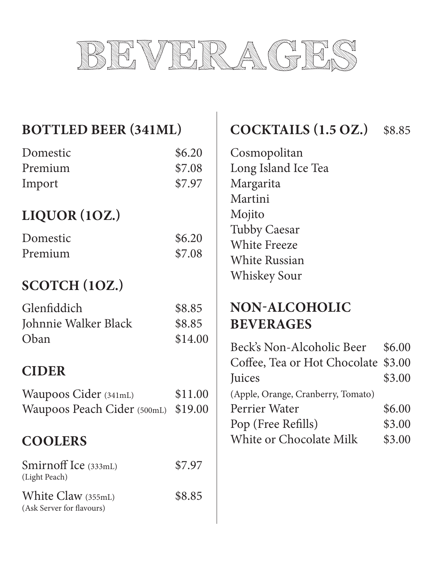

| <b>BOTTLED BEER (341ML)</b> |                                    | \$8.85                                                                                                                                   |
|-----------------------------|------------------------------------|------------------------------------------------------------------------------------------------------------------------------------------|
|                             |                                    |                                                                                                                                          |
|                             |                                    |                                                                                                                                          |
| \$7.08                      |                                    |                                                                                                                                          |
| \$7.97                      | Margarita                          |                                                                                                                                          |
|                             | Martini                            |                                                                                                                                          |
|                             | Mojito                             |                                                                                                                                          |
|                             | <b>Tubby Caesar</b>                |                                                                                                                                          |
|                             | <b>White Freeze</b>                |                                                                                                                                          |
|                             | <b>White Russian</b>               |                                                                                                                                          |
|                             | <b>Whiskey Sour</b>                |                                                                                                                                          |
|                             |                                    |                                                                                                                                          |
| \$8.85                      | <b>NON-ALCOHOLIC</b>               |                                                                                                                                          |
| \$8.85                      | <b>BEVERAGES</b>                   |                                                                                                                                          |
| \$14.00                     |                                    |                                                                                                                                          |
|                             |                                    | \$6.00                                                                                                                                   |
|                             |                                    | \$3.00                                                                                                                                   |
|                             |                                    | \$3.00                                                                                                                                   |
| \$11.00                     | (Apple, Orange, Cranberry, Tomato) |                                                                                                                                          |
| \$19.00                     | Perrier Water                      | \$6.00                                                                                                                                   |
|                             | Pop (Free Refills)                 | \$3.00                                                                                                                                   |
|                             | White or Chocolate Milk            | \$3.00                                                                                                                                   |
| \$7.97                      |                                    |                                                                                                                                          |
| \$8.85                      |                                    |                                                                                                                                          |
|                             | \$6.20<br>\$6.20<br>\$7.08         | <b>COCKTAILS (1.5 OZ.)</b><br>Cosmopolitan<br>Long Island Ice Tea<br>Beck's Non-Alcoholic Beer<br>Coffee, Tea or Hot Chocolate<br>Juices |